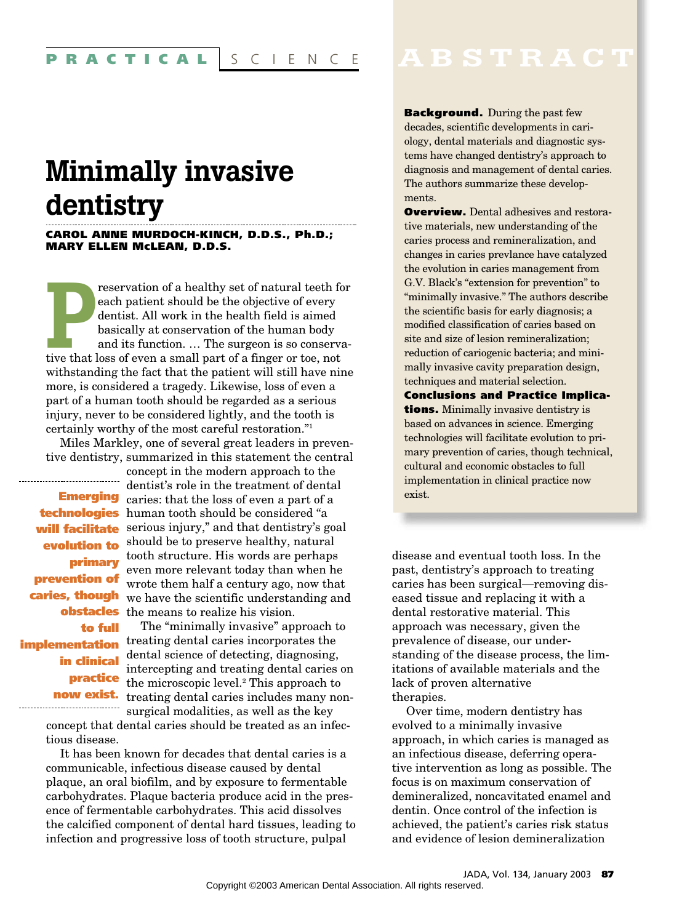# **Minimally invasive dentistry**

**CAROL ANNE MURDOCH-KINCH, D.D.S., Ph.D.; MARY ELLEN McLEAN, D.D.S.**

**P**<br> **P** reservation of a healthy set of natural teeth f<br>
each patient should be the objective of every<br>
dentist. All work in the health field is aimed<br>
basically at conservation of the human body<br>
and its function. ... Th reservation of a healthy set of natural teeth for each patient should be the objective of every dentist. All work in the health field is aimed basically at conservation of the human body and its function. … The surgeon is so conservawithstanding the fact that the patient will still have nine more, is considered a tragedy. Likewise, loss of even a part of a human tooth should be regarded as a serious injury, never to be considered lightly, and the tooth is certainly worthy of the most careful restoration."1

Miles Markley, one of several great leaders in preventive dentistry, summarized in this statement the central

**primary prevention of to full in clinical practice now exist.**

...............................

................................

concept in the modern approach to the dentist's role in the treatment of dental **Emerging** caries: that the loss of even a part of a **technologies** human tooth should be considered "a will facilitate serious injury," and that dentistry's goal **evolution to** should be to preserve healthy, natural tooth structure. His words are perhaps even more relevant today than when he wrote them half a century ago, now that **caries, though** we have the scientific understanding and **obstacles** the means to realize his vision.

The "minimally invasive" approach to **implementation** treating dental caries incorporates the dental science of detecting, diagnosing, intercepting and treating dental caries on the microscopic level.2 This approach to treating dental caries includes many nonsurgical modalities, as well as the key

concept that dental caries should be treated as an infectious disease.

It has been known for decades that dental caries is a communicable, infectious disease caused by dental plaque, an oral biofilm, and by exposure to fermentable carbohydrates. Plaque bacteria produce acid in the presence of fermentable carbohydrates. This acid dissolves the calcified component of dental hard tissues, leading to infection and progressive loss of tooth structure, pulpal

**Background.** During the past few decades, scientific developments in cariology, dental materials and diagnostic systems have changed dentistry's approach to diagnosis and management of dental caries. The authors summarize these developments.

**Overview.** Dental adhesives and restorative materials, new understanding of the caries process and remineralization, and changes in caries prevlance have catalyzed the evolution in caries management from G.V. Black's "extension for prevention" to "minimally invasive." The authors describe the scientific basis for early diagnosis; a modified classification of caries based on site and size of lesion remineralization; reduction of cariogenic bacteria; and minimally invasive cavity preparation design, techniques and material selection.

**Conclusions and Practice Implications.** Minimally invasive dentistry is based on advances in science. Emerging technologies will facilitate evolution to primary prevention of caries, though technical, cultural and economic obstacles to full implementation in clinical practice now exist.

disease and eventual tooth loss. In the past, dentistry's approach to treating caries has been surgical—removing diseased tissue and replacing it with a dental restorative material. This approach was necessary, given the prevalence of disease, our understanding of the disease process, the limitations of available materials and the lack of proven alternative therapies.

Over time, modern dentistry has evolved to a minimally invasive approach, in which caries is managed as an infectious disease, deferring operative intervention as long as possible. The focus is on maximum conservation of demineralized, noncavitated enamel and dentin. Once control of the infection is achieved, the patient's caries risk status and evidence of lesion demineralization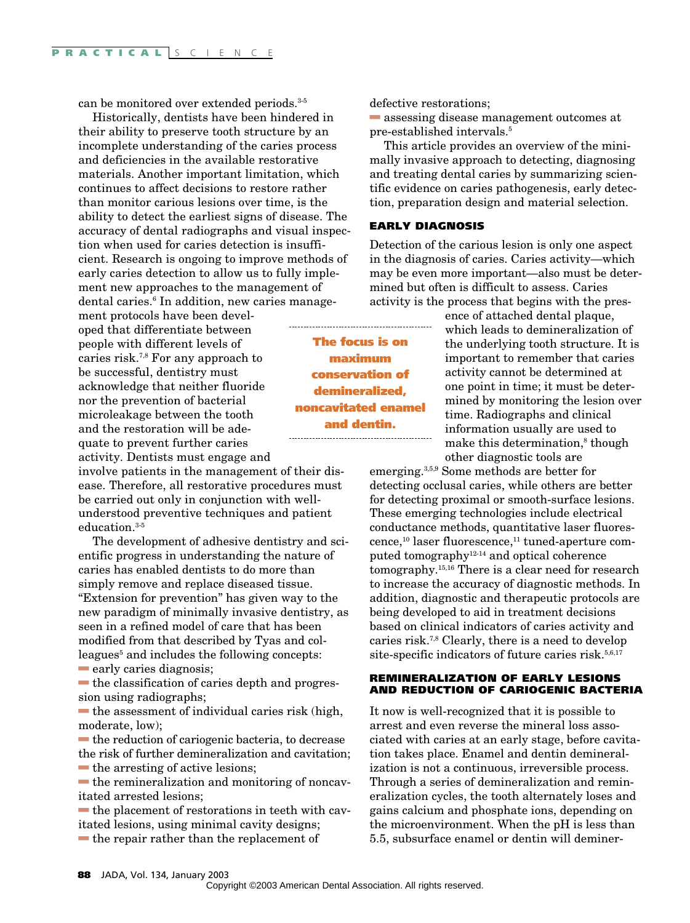can be monitored over extended periods.<sup>3-5</sup>

Historically, dentists have been hindered in their ability to preserve tooth structure by an incomplete understanding of the caries process and deficiencies in the available restorative materials. Another important limitation, which continues to affect decisions to restore rather than monitor carious lesions over time, is the ability to detect the earliest signs of disease. The accuracy of dental radiographs and visual inspection when used for caries detection is insufficient. Research is ongoing to improve methods of early caries detection to allow us to fully implement new approaches to the management of dental caries.<sup>6</sup> In addition, new caries manage-

ment protocols have been developed that differentiate between people with different levels of caries risk.7,8 For any approach to be successful, dentistry must acknowledge that neither fluoride nor the prevention of bacterial microleakage between the tooth and the restoration will be adequate to prevent further caries activity. Dentists must engage and

involve patients in the management of their disease. Therefore, all restorative procedures must be carried out only in conjunction with wellunderstood preventive techniques and patient education.<sup>3-5</sup>

The development of adhesive dentistry and scientific progress in understanding the nature of caries has enabled dentists to do more than simply remove and replace diseased tissue. "Extension for prevention" has given way to the new paradigm of minimally invasive dentistry, as seen in a refined model of care that has been modified from that described by Tyas and colleagues<sup>5</sup> and includes the following concepts:  $\blacksquare$  early caries diagnosis;

 $\blacksquare$  the classification of caries depth and progression using radiographs;

 $\blacksquare$  the assessment of individual caries risk (high, moderate, low);

 $\blacksquare$  the reduction of cariogenic bacteria, to decrease the risk of further demineralization and cavitation;  $\blacksquare$  the arresting of active lesions;

 $\blacksquare$  the remineralization and monitoring of noncavitated arrested lesions;

 $\blacksquare$  the placement of restorations in teeth with cavitated lesions, using minimal cavity designs;  $\blacksquare$  the repair rather than the replacement of

defective restorations;

**assessing disease management outcomes at** pre-established intervals.5

This article provides an overview of the minimally invasive approach to detecting, diagnosing and treating dental caries by summarizing scientific evidence on caries pathogenesis, early detection, preparation design and material selection.

# **EARLY DIAGNOSIS**

Detection of the carious lesion is only one aspect in the diagnosis of caries. Caries activity—which may be even more important—also must be determined but often is difficult to assess. Caries activity is the process that begins with the pres-

> ence of attached dental plaque, which leads to demineralization of the underlying tooth structure. It is important to remember that caries activity cannot be determined at one point in time; it must be determined by monitoring the lesion over time. Radiographs and clinical information usually are used to make this determination,<sup>8</sup> though other diagnostic tools are

emerging.3,5,9 Some methods are better for detecting occlusal caries, while others are better for detecting proximal or smooth-surface lesions. These emerging technologies include electrical conductance methods, quantitative laser fluorescence,<sup>10</sup> laser fluorescence,<sup>11</sup> tuned-aperture computed tomography12-14 and optical coherence tomography.15,16 There is a clear need for research to increase the accuracy of diagnostic methods. In addition, diagnostic and therapeutic protocols are being developed to aid in treatment decisions based on clinical indicators of caries activity and caries risk.7,8 Clearly, there is a need to develop site-specific indicators of future caries risk. $5,6,17$ 

### **REMINERALIZATION OF EARLY LESIONS AND REDUCTION OF CARIOGENIC BACTERIA**

It now is well-recognized that it is possible to arrest and even reverse the mineral loss associated with caries at an early stage, before cavitation takes place. Enamel and dentin demineralization is not a continuous, irreversible process. Through a series of demineralization and remineralization cycles, the tooth alternately loses and gains calcium and phosphate ions, depending on the microenvironment. When the pH is less than 5.5, subsurface enamel or dentin will deminer-

**The focus is on maximum conservation of demineralized, noncavitated enamel and dentin.**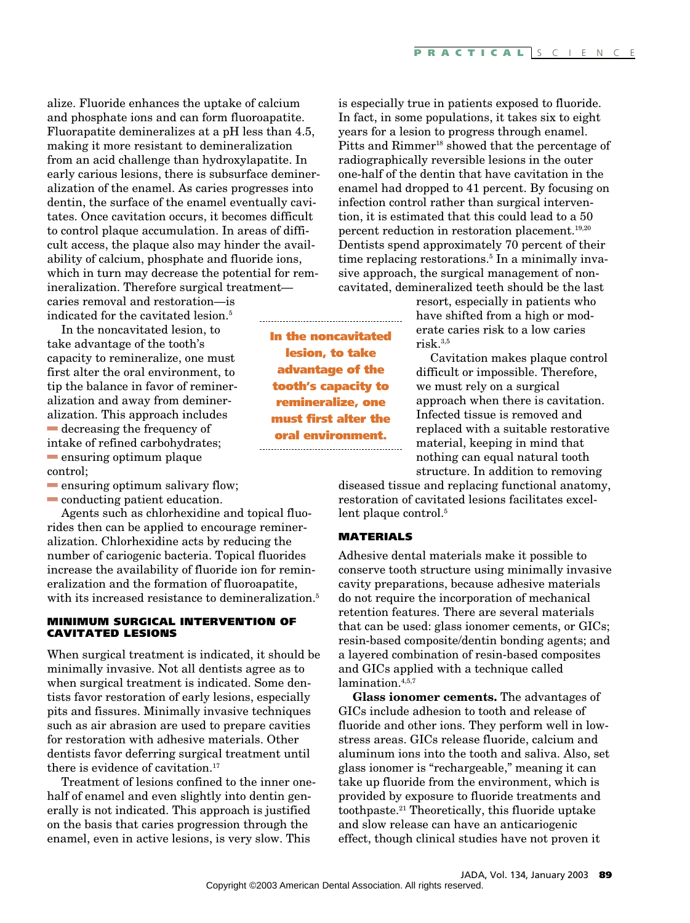alize. Fluoride enhances the uptake of calcium and phosphate ions and can form fluoroapatite. Fluorapatite demineralizes at a pH less than 4.5, making it more resistant to demineralization from an acid challenge than hydroxylapatite. In early carious lesions, there is subsurface demineralization of the enamel. As caries progresses into dentin, the surface of the enamel eventually cavitates. Once cavitation occurs, it becomes difficult to control plaque accumulation. In areas of difficult access, the plaque also may hinder the availability of calcium, phosphate and fluoride ions, which in turn may decrease the potential for remineralization. Therefore surgical treatment—

caries removal and restoration—is indicated for the cavitated lesion.<sup>5</sup>

In the noncavitated lesion, to take advantage of the tooth's capacity to remineralize, one must first alter the oral environment, to tip the balance in favor of remineralization and away from demineralization. This approach includes  $\blacksquare$  decreasing the frequency of intake of refined carbohydrates;  $\blacksquare$  ensuring optimum plaque control;

- $\blacksquare$  ensuring optimum salivary flow;
- $\blacksquare$  conducting patient education.

Agents such as chlorhexidine and topical fluorides then can be applied to encourage remineralization. Chlorhexidine acts by reducing the number of cariogenic bacteria. Topical fluorides increase the availability of fluoride ion for remineralization and the formation of fluoroapatite, with its increased resistance to demineralization.<sup>5</sup>

# **MINIMUM SURGICAL INTERVENTION OF CAVITATED LESIONS**

When surgical treatment is indicated, it should be minimally invasive. Not all dentists agree as to when surgical treatment is indicated. Some dentists favor restoration of early lesions, especially pits and fissures. Minimally invasive techniques such as air abrasion are used to prepare cavities for restoration with adhesive materials. Other dentists favor deferring surgical treatment until there is evidence of cavitation.<sup>17</sup>

Treatment of lesions confined to the inner onehalf of enamel and even slightly into dentin generally is not indicated. This approach is justified on the basis that caries progression through the enamel, even in active lesions, is very slow. This

is especially true in patients exposed to fluoride. In fact, in some populations, it takes six to eight years for a lesion to progress through enamel. Pitts and Rimmer<sup>18</sup> showed that the percentage of radiographically reversible lesions in the outer one-half of the dentin that have cavitation in the enamel had dropped to 41 percent. By focusing on infection control rather than surgical intervention, it is estimated that this could lead to a 50 percent reduction in restoration placement.19,20 Dentists spend approximately 70 percent of their time replacing restorations.<sup>5</sup> In a minimally invasive approach, the surgical management of noncavitated, demineralized teeth should be the last

> resort, especially in patients who have shifted from a high or moderate caries risk to a low caries risk.3,5

Cavitation makes plaque control difficult or impossible. Therefore, we must rely on a surgical approach when there is cavitation. Infected tissue is removed and replaced with a suitable restorative material, keeping in mind that nothing can equal natural tooth structure. In addition to removing

diseased tissue and replacing functional anatomy, restoration of cavitated lesions facilitates excellent plaque control.<sup>5</sup>

# **MATERIALS**

Adhesive dental materials make it possible to conserve tooth structure using minimally invasive cavity preparations, because adhesive materials do not require the incorporation of mechanical retention features. There are several materials that can be used: glass ionomer cements, or GICs; resin-based composite/dentin bonding agents; and a layered combination of resin-based composites and GICs applied with a technique called lamination.<sup>4,5,7</sup>

**Glass ionomer cements.** The advantages of GICs include adhesion to tooth and release of fluoride and other ions. They perform well in lowstress areas. GICs release fluoride, calcium and aluminum ions into the tooth and saliva. Also, set glass ionomer is "rechargeable," meaning it can take up fluoride from the environment, which is provided by exposure to fluoride treatments and toothpaste.21 Theoretically, this fluoride uptake and slow release can have an anticariogenic effect, though clinical studies have not proven it

**In the noncavitated lesion, to take advantage of the tooth's capacity to remineralize, one must first alter the oral environment.**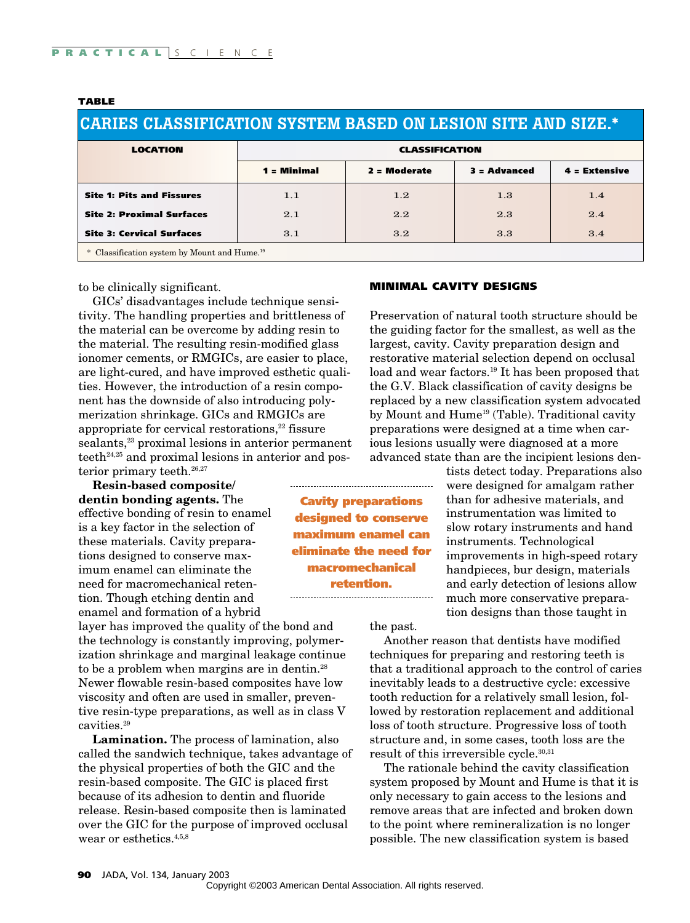# **TABLE**

# **CARIES CLASSIFICATION SYSTEM BASED ON LESION SITE AND SIZE.\***

| <b>LOCATION</b>                                          | <b>CLASSIFICATION</b> |             |              |                 |
|----------------------------------------------------------|-----------------------|-------------|--------------|-----------------|
|                                                          | $1 =$ Minimal         | $2 = Model$ | 3 = Advanced | $4 =$ Extensive |
| <b>Site 1: Pits and Fissures</b>                         | 1.1                   | 1.2         | 1.3          | 1.4             |
| <b>Site 2: Proximal Surfaces</b>                         | 2.1                   | 2.2         | 2.3          | 2.4             |
| <b>Site 3: Cervical Surfaces</b>                         | 3.1                   | 3.2         | 3.3          | 3.4             |
| * Classification system by Mount and Hume. <sup>19</sup> |                       |             |              |                 |

to be clinically significant.

GICs' disadvantages include technique sensitivity. The handling properties and brittleness of the material can be overcome by adding resin to the material. The resulting resin-modified glass ionomer cements, or RMGICs, are easier to place, are light-cured, and have improved esthetic qualities. However, the introduction of a resin component has the downside of also introducing polymerization shrinkage. GICs and RMGICs are appropriate for cervical restorations, $22$  fissure sealants,<sup>23</sup> proximal lesions in anterior permanent teeth $24,25$  and proximal lesions in anterior and posterior primary teeth. $26,27$ 

**Resin-based composite/ dentin bonding agents.** The effective bonding of resin to enamel is a key factor in the selection of these materials. Cavity preparations designed to conserve maximum enamel can eliminate the need for macromechanical retention. Though etching dentin and enamel and formation of a hybrid

layer has improved the quality of the bond and the technology is constantly improving, polymerization shrinkage and marginal leakage continue to be a problem when margins are in dentin.<sup>28</sup> Newer flowable resin-based composites have low viscosity and often are used in smaller, preventive resin-type preparations, as well as in class V cavities.29

**Lamination.** The process of lamination, also called the sandwich technique, takes advantage of the physical properties of both the GIC and the resin-based composite. The GIC is placed first because of its adhesion to dentin and fluoride release. Resin-based composite then is laminated over the GIC for the purpose of improved occlusal wear or esthetics.4,5,8

### **MINIMAL CAVITY DESIGNS**

Preservation of natural tooth structure should be the guiding factor for the smallest, as well as the largest, cavity. Cavity preparation design and restorative material selection depend on occlusal load and wear factors.<sup>19</sup> It has been proposed that the G.V. Black classification of cavity designs be replaced by a new classification system advocated by Mount and Hume<sup>19</sup> (Table). Traditional cavity preparations were designed at a time when carious lesions usually were diagnosed at a more advanced state than are the incipient lesions den-

> tists detect today. Preparations also were designed for amalgam rather than for adhesive materials, and instrumentation was limited to slow rotary instruments and hand instruments. Technological improvements in high-speed rotary handpieces, bur design, materials and early detection of lesions allow much more conservative preparation designs than those taught in

the past.

**Cavity preparations designed to conserve maximum enamel can eliminate the need for macromechanical retention.**

Another reason that dentists have modified techniques for preparing and restoring teeth is that a traditional approach to the control of caries inevitably leads to a destructive cycle: excessive tooth reduction for a relatively small lesion, followed by restoration replacement and additional loss of tooth structure. Progressive loss of tooth structure and, in some cases, tooth loss are the result of this irreversible cycle.<sup>30,31</sup>

The rationale behind the cavity classification system proposed by Mount and Hume is that it is only necessary to gain access to the lesions and remove areas that are infected and broken down to the point where remineralization is no longer possible. The new classification system is based

**90** JADA, Vol. 134, January 2003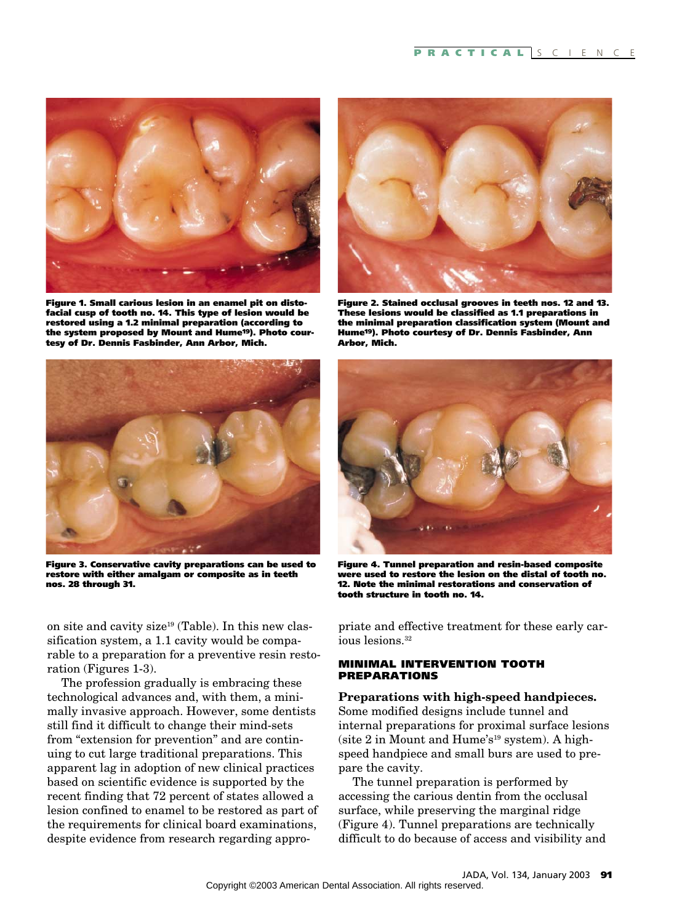

**Figure 1. Small carious lesion in an enamel pit on distofacial cusp of tooth no. 14. This type of lesion would be restored using a 1.2 minimal preparation (according to the system proposed by Mount and Hume19). Photo courtesy of Dr. Dennis Fasbinder, Ann Arbor, Mich.**



**Figure 3. Conservative cavity preparations can be used to restore with either amalgam or composite as in teeth nos. 28 through 31.**



**Figure 2. Stained occlusal grooves in teeth nos. 12 and 13. These lesions would be classified as 1.1 preparations in the minimal preparation classification system (Mount and Hume19). Photo courtesy of Dr. Dennis Fasbinder, Ann Arbor, Mich.**



**Figure 4. Tunnel preparation and resin-based composite were used to restore the lesion on the distal of tooth no. 12. Note the minimal restorations and conservation of tooth structure in tooth no. 14.**

on site and cavity size<sup>19</sup> (Table). In this new classification system, a 1.1 cavity would be comparable to a preparation for a preventive resin restoration (Figures 1-3).

The profession gradually is embracing these technological advances and, with them, a minimally invasive approach. However, some dentists still find it difficult to change their mind-sets from "extension for prevention" and are continuing to cut large traditional preparations. This apparent lag in adoption of new clinical practices based on scientific evidence is supported by the recent finding that 72 percent of states allowed a lesion confined to enamel to be restored as part of the requirements for clinical board examinations, despite evidence from research regarding appropriate and effective treatment for these early carious lesions.<sup>32</sup>

# **MINIMAL INTERVENTION TOOTH PREPARATIONS**

# **Preparations with high-speed handpieces.**

Some modified designs include tunnel and internal preparations for proximal surface lesions (site  $2$  in Mount and Hume's<sup>19</sup> system). A highspeed handpiece and small burs are used to prepare the cavity.

The tunnel preparation is performed by accessing the carious dentin from the occlusal surface, while preserving the marginal ridge (Figure 4). Tunnel preparations are technically difficult to do because of access and visibility and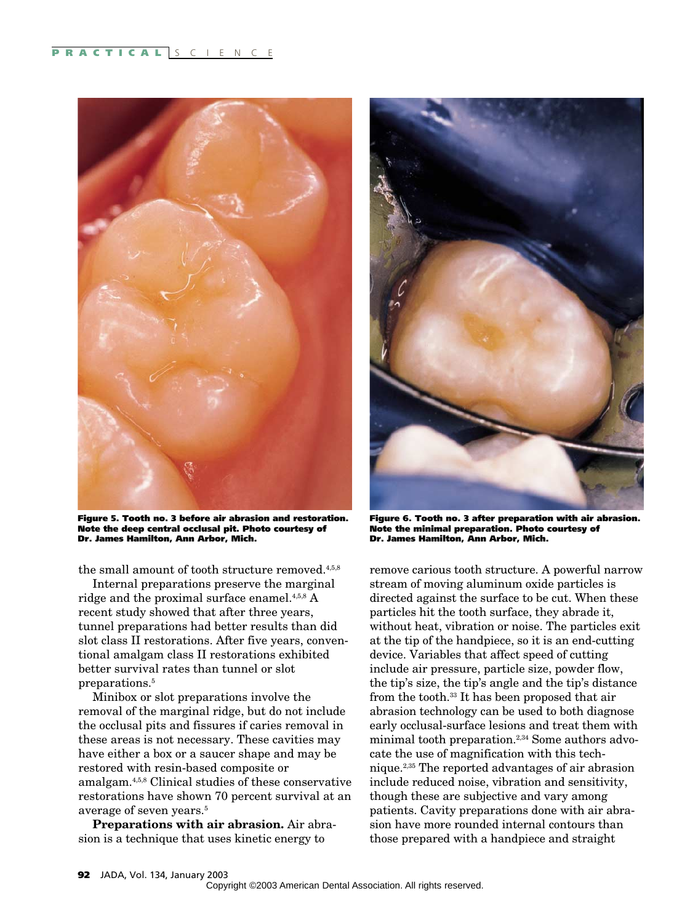

**Figure 5. Tooth no. 3 before air abrasion and restoration. Note the deep central occlusal pit. Photo courtesy of Dr. James Hamilton, Ann Arbor, Mich.**

the small amount of tooth structure removed. $4,5,8$ 

Internal preparations preserve the marginal ridge and the proximal surface enamel.<sup>4,5,8</sup> A recent study showed that after three years, tunnel preparations had better results than did slot class II restorations. After five years, conventional amalgam class II restorations exhibited better survival rates than tunnel or slot preparations.<sup>5</sup>

Minibox or slot preparations involve the removal of the marginal ridge, but do not include the occlusal pits and fissures if caries removal in these areas is not necessary. These cavities may have either a box or a saucer shape and may be restored with resin-based composite or amalgam.4,5,8 Clinical studies of these conservative restorations have shown 70 percent survival at an average of seven years.<sup>5</sup>

**Preparations with air abrasion.** Air abrasion is a technique that uses kinetic energy to



**Figure 6. Tooth no. 3 after preparation with air abrasion. Note the minimal preparation. Photo courtesy of Dr. James Hamilton, Ann Arbor, Mich.**

remove carious tooth structure. A powerful narrow stream of moving aluminum oxide particles is directed against the surface to be cut. When these particles hit the tooth surface, they abrade it, without heat, vibration or noise. The particles exit at the tip of the handpiece, so it is an end-cutting device. Variables that affect speed of cutting include air pressure, particle size, powder flow, the tip's size, the tip's angle and the tip's distance from the tooth.33 It has been proposed that air abrasion technology can be used to both diagnose early occlusal-surface lesions and treat them with minimal tooth preparation.<sup>2,34</sup> Some authors advocate the use of magnification with this technique.2,35 The reported advantages of air abrasion include reduced noise, vibration and sensitivity, though these are subjective and vary among patients. Cavity preparations done with air abrasion have more rounded internal contours than those prepared with a handpiece and straight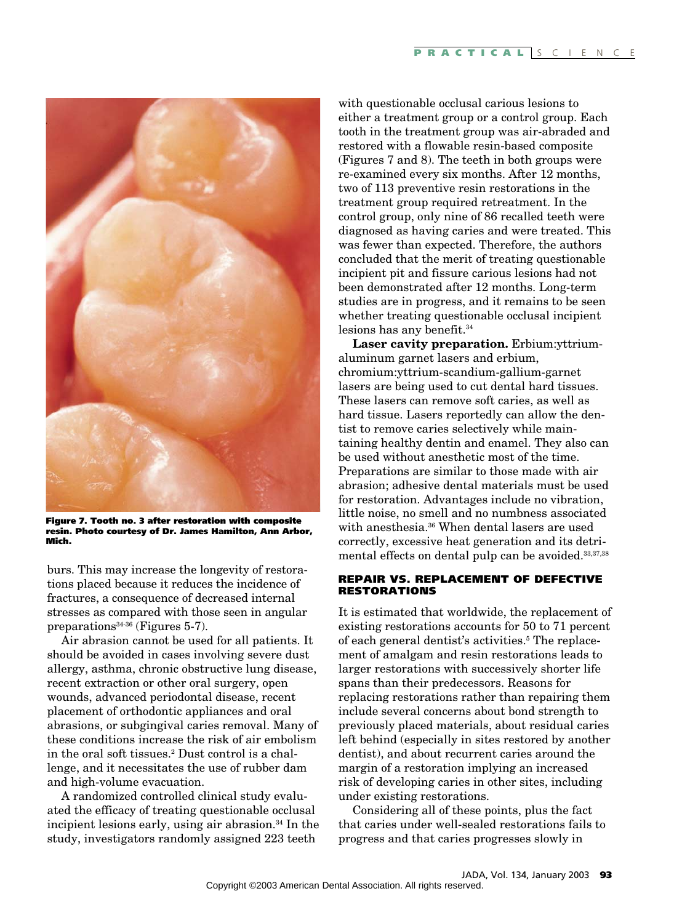

**Figure 7. Tooth no. 3 after restoration with composite resin. Photo courtesy of Dr. James Hamilton, Ann Arbor, Mich.**

burs. This may increase the longevity of restorations placed because it reduces the incidence of fractures, a consequence of decreased internal stresses as compared with those seen in angular preparations $34-36$  (Figures 5-7).

Air abrasion cannot be used for all patients. It should be avoided in cases involving severe dust allergy, asthma, chronic obstructive lung disease, recent extraction or other oral surgery, open wounds, advanced periodontal disease, recent placement of orthodontic appliances and oral abrasions, or subgingival caries removal. Many of these conditions increase the risk of air embolism in the oral soft tissues.2 Dust control is a challenge, and it necessitates the use of rubber dam and high-volume evacuation.

A randomized controlled clinical study evaluated the efficacy of treating questionable occlusal incipient lesions early, using air abrasion. $34$  In the study, investigators randomly assigned 223 teeth

with questionable occlusal carious lesions to either a treatment group or a control group. Each tooth in the treatment group was air-abraded and restored with a flowable resin-based composite (Figures 7 and 8). The teeth in both groups were re-examined every six months. After 12 months, two of 113 preventive resin restorations in the treatment group required retreatment. In the control group, only nine of 86 recalled teeth were diagnosed as having caries and were treated. This was fewer than expected. Therefore, the authors concluded that the merit of treating questionable incipient pit and fissure carious lesions had not been demonstrated after 12 months. Long-term studies are in progress, and it remains to be seen whether treating questionable occlusal incipient lesions has any benefit.<sup>34</sup>

**Laser cavity preparation.** Erbium:yttriumaluminum garnet lasers and erbium, chromium:yttrium-scandium-gallium-garnet lasers are being used to cut dental hard tissues. These lasers can remove soft caries, as well as hard tissue. Lasers reportedly can allow the dentist to remove caries selectively while maintaining healthy dentin and enamel. They also can be used without anesthetic most of the time. Preparations are similar to those made with air abrasion; adhesive dental materials must be used for restoration. Advantages include no vibration, little noise, no smell and no numbness associated with anesthesia.<sup>36</sup> When dental lasers are used correctly, excessive heat generation and its detrimental effects on dental pulp can be avoided.<sup>33,37,38</sup>

# **REPAIR VS. REPLACEMENT OF DEFECTIVE RESTORATIONS**

It is estimated that worldwide, the replacement of existing restorations accounts for 50 to 71 percent of each general dentist's activities.<sup>5</sup> The replacement of amalgam and resin restorations leads to larger restorations with successively shorter life spans than their predecessors. Reasons for replacing restorations rather than repairing them include several concerns about bond strength to previously placed materials, about residual caries left behind (especially in sites restored by another dentist), and about recurrent caries around the margin of a restoration implying an increased risk of developing caries in other sites, including under existing restorations.

Considering all of these points, plus the fact that caries under well-sealed restorations fails to progress and that caries progresses slowly in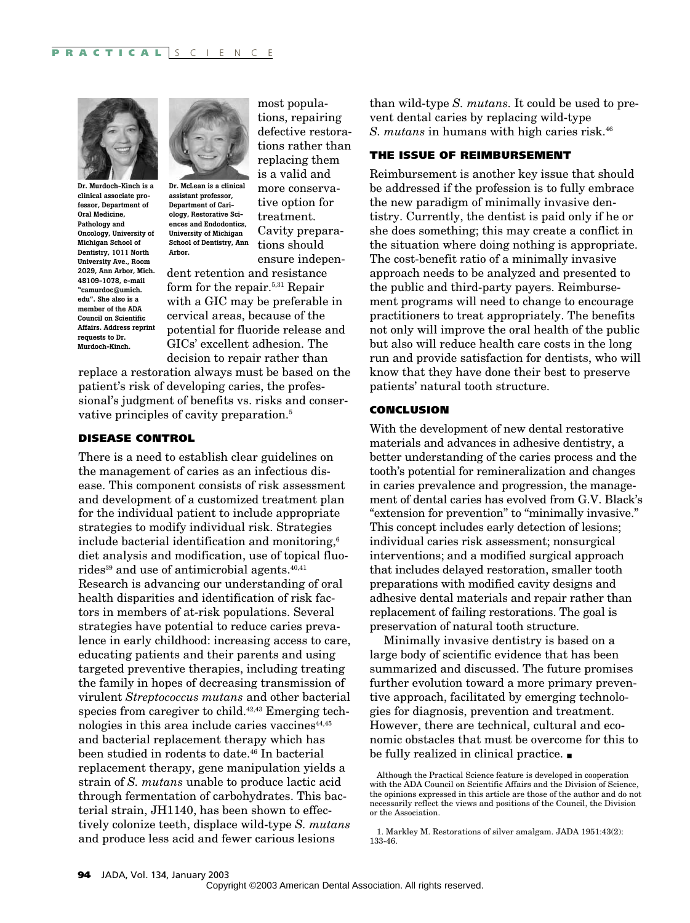

**Dr. Murdoch-Kinch is a clinical associate professor, Department of Oral Medicine, Pathology and Oncology, University of Michigan School of Dentistry, 1011 North University Ave., Room 2029, Ann Arbor, Mich. 48109-1078, e-mail "camurdoc@umich. edu". She also is a member of the ADA Council on Scientific Affairs. Address reprint requests to Dr. Murdoch-Kinch.**



**Dr. McLean is a clinical assistant professor, Department of Cariology, Restorative Sciences and Endodontics, University of Michigan School of Dentistry, Ann Arbor.**

treatment. Cavity preparations should ensure independent retention and resistance form for the repair.<sup>5,31</sup> Repair with a GIC may be preferable in cervical areas, because of the potential for fluoride release and

GICs' excellent adhesion. The

most populations, repairing defective restorations rather than replacing them is a valid and more conservative option for

decision to repair rather than replace a restoration always must be based on the patient's risk of developing caries, the professional's judgment of benefits vs. risks and conservative principles of cavity preparation.<sup>5</sup>

# **DISEASE CONTROL**

There is a need to establish clear guidelines on the management of caries as an infectious disease. This component consists of risk assessment and development of a customized treatment plan for the individual patient to include appropriate strategies to modify individual risk. Strategies include bacterial identification and monitoring,<sup>6</sup> diet analysis and modification, use of topical fluorides<sup>39</sup> and use of antimicrobial agents.<sup>40,41</sup> Research is advancing our understanding of oral health disparities and identification of risk factors in members of at-risk populations. Several strategies have potential to reduce caries prevalence in early childhood: increasing access to care, educating patients and their parents and using targeted preventive therapies, including treating the family in hopes of decreasing transmission of virulent *Streptococcus mutans* and other bacterial species from caregiver to child. $42,43$  Emerging technologies in this area include caries vaccines $44,45$ and bacterial replacement therapy which has been studied in rodents to date.<sup>46</sup> In bacterial replacement therapy, gene manipulation yields a strain of *S. mutans* unable to produce lactic acid through fermentation of carbohydrates. This bacterial strain, JH1140, has been shown to effectively colonize teeth, displace wild-type *S. mutans* and produce less acid and fewer carious lesions

than wild-type *S. mutans.* It could be used to prevent dental caries by replacing wild-type *S. mutans* in humans with high caries risk.<sup>46</sup>

# **THE ISSUE OF REIMBURSEMENT**

Reimbursement is another key issue that should be addressed if the profession is to fully embrace the new paradigm of minimally invasive dentistry. Currently, the dentist is paid only if he or she does something; this may create a conflict in the situation where doing nothing is appropriate. The cost-benefit ratio of a minimally invasive approach needs to be analyzed and presented to the public and third-party payers. Reimbursement programs will need to change to encourage practitioners to treat appropriately. The benefits not only will improve the oral health of the public but also will reduce health care costs in the long run and provide satisfaction for dentists, who will know that they have done their best to preserve patients' natural tooth structure.

# **CONCLUSION**

With the development of new dental restorative materials and advances in adhesive dentistry, a better understanding of the caries process and the tooth's potential for remineralization and changes in caries prevalence and progression, the management of dental caries has evolved from G.V. Black's "extension for prevention" to "minimally invasive." This concept includes early detection of lesions; individual caries risk assessment; nonsurgical interventions; and a modified surgical approach that includes delayed restoration, smaller tooth preparations with modified cavity designs and adhesive dental materials and repair rather than replacement of failing restorations. The goal is preservation of natural tooth structure.

Minimally invasive dentistry is based on a large body of scientific evidence that has been summarized and discussed. The future promises further evolution toward a more primary preventive approach, facilitated by emerging technologies for diagnosis, prevention and treatment. However, there are technical, cultural and economic obstacles that must be overcome for this to be fully realized in clinical practice. ■

Although the Practical Science feature is developed in cooperation with the ADA Council on Scientific Affairs and the Division of Science, the opinions expressed in this article are those of the author and do not necessarily reflect the views and positions of the Council, the Division or the Association.

<sup>1.</sup> Markley M. Restorations of silver amalgam. JADA 1951:43(2): 133-46.